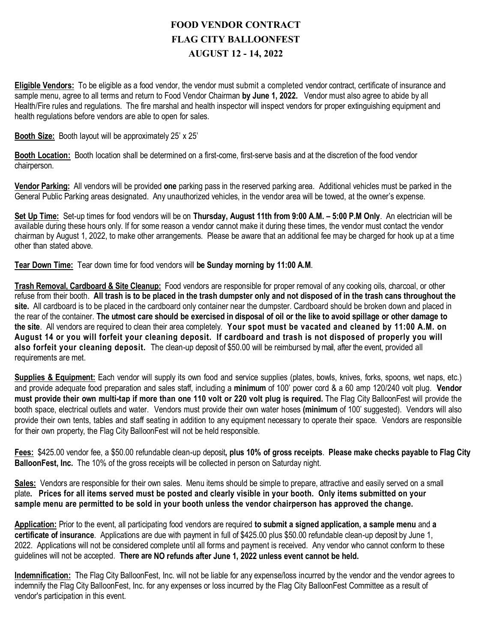## **FOOD VENDOR CONTRACT FLAG CITY BALLOONFEST AUGUST 12 - 14, 2022**

**Eligible Vendors:** To be eligible as a food vendor, the vendor must submit a completed vendor contract, certificate of insurance and sample menu, agree to all terms and return to Food Vendor Chairman **by June 1, 2022.** Vendor must also agree to abide by all Health/Fire rules and regulations. The fire marshal and health inspector will inspect vendors for proper extinguishing equipment and health regulations before vendors are able to open for sales.

**Booth Size:** Booth layout will be approximately 25' x 25'

**Booth Location:** Booth location shall be determined on a first-come, first-serve basis and at the discretion of the food vendor chairperson.

**Vendor Parking:** All vendors will be provided **one** parking pass in the reserved parking area. Additional vehicles must be parked in the General Public Parking areas designated. Any unauthorized vehicles, in the vendor area will be towed, at the owner's expense.

**Set Up Time:** Set-up times for food vendors will be on **Thursday, August 11th from 9:00 A.M. – 5:00 P.M Only**. An electrician will be available during these hours only. If for some reason a vendor cannot make it during these times, the vendor must contact the vendor chairman by August 1, 2022, to make other arrangements. Please be aware that an additional fee may be charged for hook up at a time other than stated above.

**Tear Down Time:** Tear down time for food vendors will **be Sunday morning by 11:00 A.M**.

**Trash Removal, Cardboard & Site Cleanup:** Food vendors are responsible for proper removal of any cooking oils, charcoal, or other refuse from their booth. **All trash is to be placed in the trash dumpster only and not disposed of in the trash cans throughout the site.** All cardboard is to be placed in the cardboard only container near the dumpster. Cardboard should be broken down and placed in the rear of the container. The utmost care should be exercised in disposal of oil or the like to avoid spillage or other damage to **the site**. All vendors are required to clean their area completely. **Your spot must be vacated and cleaned by 11:00 A.M. on August 14 or you will forfeit your cleaning deposit. If cardboard and trash is not disposed of properly you will also forfeit your cleaning deposit.** The clean-up deposit of \$50.00 will be reimbursed by mail, after the event, provided all requirements are met.

**Supplies & Equipment:** Each vendor will supply its own food and service supplies (plates, bowls, knives, forks, spoons, wet naps, etc.) and provide adequate food preparation and sales staff, including a **minimum** of 100' power cord & a 60 amp 120/240 volt plug. **Vendor must provide their own multi-tap if more than one 110 volt or 220 volt plug is required.** The Flag City BalloonFest will provide the booth space, electrical outlets and water. Vendors must provide their own water hoses **(minimum** of 100' suggested). Vendors will also provide their own tents, tables and staff seating in addition to any equipment necessary to operate their space. Vendors are responsible for their own property, the Flag City BalloonFest will not be held responsible.

**Fees:** \$425.00 vendor fee, a \$50.00 refundable clean-up deposit**, plus 10% of gross receipts**. **Please make checks payable to Flag City BalloonFest, Inc.** The 10% of the gross receipts will be collected in person on Saturday night.

**Sales:** Vendors are responsible for their own sales. Menu items should be simple to prepare, attractive and easily served on a small plate**. Prices for all items served must be posted and clearly visible in your booth. Only items submitted on your sample menu are permitted to be sold in your booth unless the vendor chairperson has approved the change.**

**Application:** Prior to the event, all participating food vendors are required **to submit a signed application, a sample menu** and **a certificate of insurance**. Applications are due with payment in full of \$425.00 plus \$50.00 refundable clean-up deposit by June 1, 2022. Applications will not be considered complete until all forms and payment is received. Any vendor who cannot conform to these guidelines will not be accepted. **There are NO refunds after June 1, 2022 unless event cannot be held.**

**Indemnification:** The Flag City BalloonFest, Inc. will not be liable for any expense/loss incurred by the vendor and the vendor agrees to indemnify the Flag City BalloonFest, Inc. for any expenses or loss incurred by the Flag City BalloonFest Committee as a result of vendor's participation in this event.